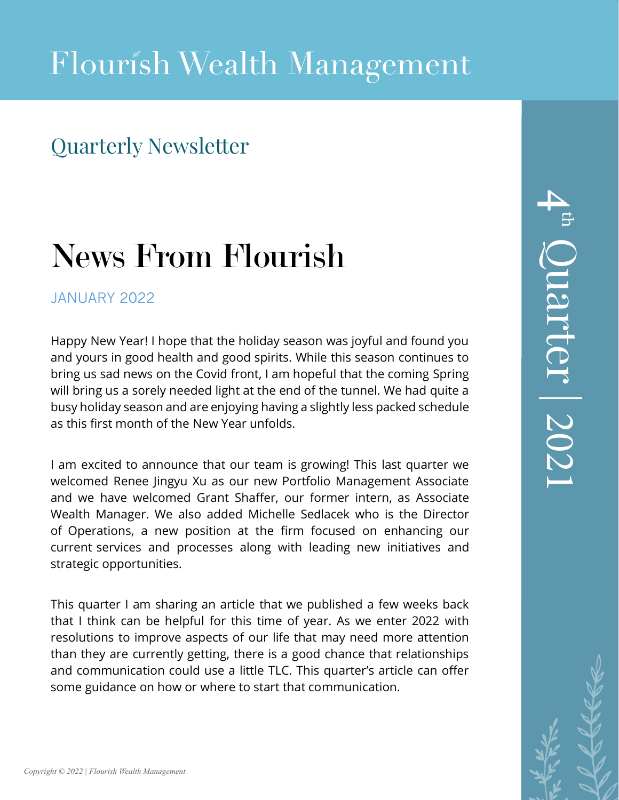### Quarterly Newsletter

# News From Flourish

### JANUARY 2022

Happy New Year! I hope that the holiday season was joyful and found you and yours in good health and good spirits. While this season continues to bring us sad news on the Covid front, I am hopeful that the coming Spring will bring us a sorely needed light at the end of the tunnel. We had quite a busy holiday season and are enjoying having a slightly less packed schedule as this first month of the New Year unfolds.

I am excited to announce that our team is growing! This last quarter we welcomed Renee Jingyu Xu as our new Portfolio Management Associate and we have welcomed Grant Shaffer, our former intern, as Associate Wealth Manager. We also added Michelle Sedlacek who is the Director of Operations, a new position at the firm focused on enhancing our current services and processes along with leading new initiatives and strategic opportunities.

This quarter I am sharing an article that we published a few weeks back that I think can be helpful for this time of year. As we enter 2022 with resolutions to improve aspects of our life that may need more attention than they are currently getting, there is a good chance that relationships and communication could use a little TLC. This quarter's article can offer some guidance on how or where to start that communication.

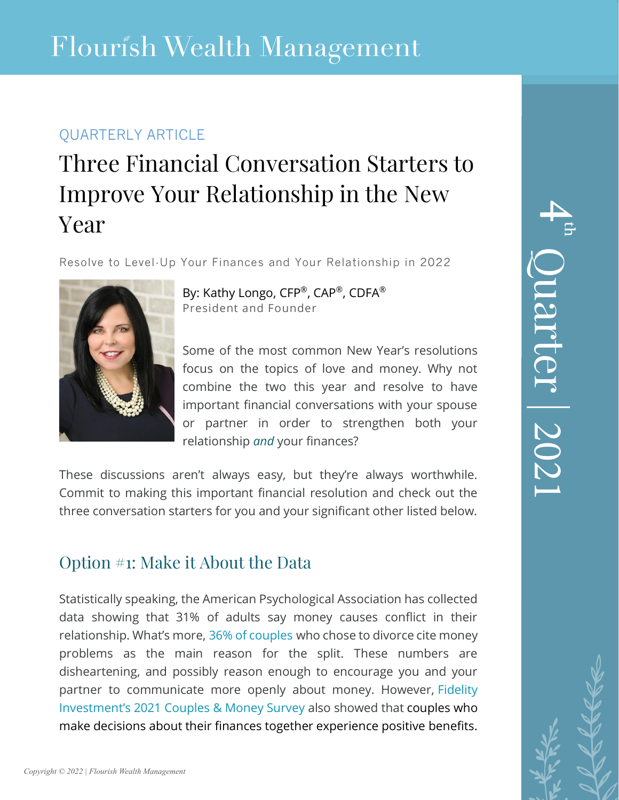### QUARTERLY ARTICLE

## Three Financial Conversation Starters to Improve Your Relationship in the New Year

Resolve to Level-Up Your Finances and Your Relationship in 2022



By: Kathy Longo, CFP®, CAP®, CDFA® President and Founder

Some of the most common New Year's resolutions focus on the topics of love and money. Why not combine the two this year and resolve to have important financial conversations with your spouse or partner in order to strengthen both your relationship *and* your finances?

These discussions aren't always easy, but they're always worthwhile. Commit to making this important financial resolution and check out the three conversation starters for you and your significant other listed below.

### Option #1: Make it About the Data

Statistically speaking, the American Psychological Association has collected data showing that 31% of adults say money causes conflict in their relationship. What's more, [36% of couples](https://www.itsovereasy.com/insights/causes-of-divorce) who chose to divorce cite money problems as the main reason for the split. These numbers are disheartening, and possibly reason enough to encourage you and your partner to communicate more openly about money. However, [Fidelity](https://www.fidelity.com/bin-public/060_www_fidelity_com/documents/about-fidelity/Fidelity-Couples-and-Money-Fact-Sheet-2021.pdf)  [Investment's 2021 Couples & Money Survey](https://www.fidelity.com/bin-public/060_www_fidelity_com/documents/about-fidelity/Fidelity-Couples-and-Money-Fact-Sheet-2021.pdf) also showed that couples who make decisions about their finances together experience positive benefits.

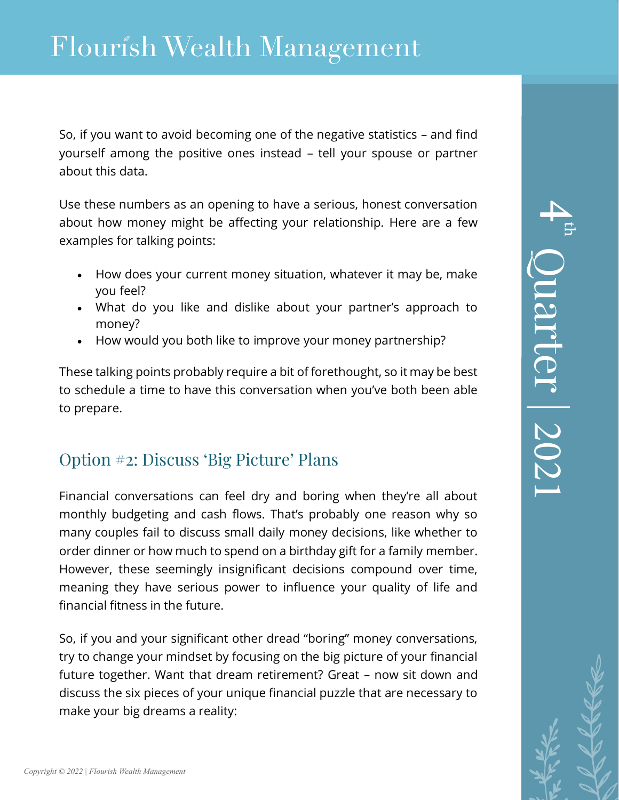So, if you want to avoid becoming one of the negative statistics – and find yourself among the positive ones instead – tell your spouse or partner about this data.

Use these numbers as an opening to have a serious, honest conversation about how money might be affecting your relationship. Here are a few examples for talking points:

- How does your current money situation, whatever it may be, make you feel?
- What do you like and dislike about your partner's approach to money?
- How would you both like to improve your money partnership?

These talking points probably require a bit of forethought, so it may be best to schedule a time to have this conversation when you've both been able to prepare.

### Option #2: Discuss 'Big Picture' Plans

Financial conversations can feel dry and boring when they're all about monthly budgeting and cash flows. That's probably one reason why so many couples fail to discuss small daily money decisions, like whether to order dinner or how much to spend on a birthday gift for a family member. However, these seemingly insignificant decisions compound over time, meaning they have serious power to influence your quality of life and financial fitness in the future.

So, if you and your significant other dread "boring" money conversations, try to change your mindset by focusing on the big picture of your financial future together. Want that dream retirement? Great – now sit down and discuss the six pieces of your unique financial puzzle that are necessary to make your big dreams a reality: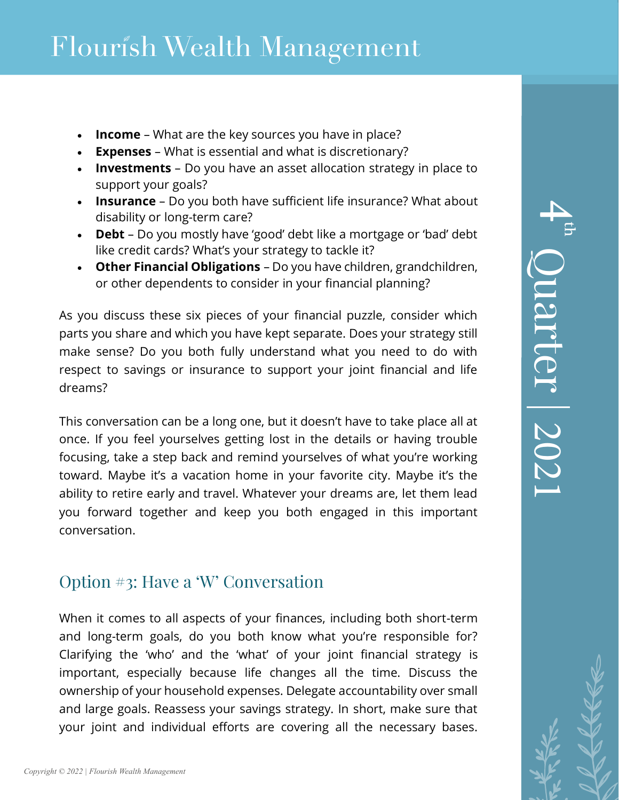- **Income** What are the key sources you have in place?
- **Expenses** What is essential and what is discretionary?
- **Investments** Do you have an asset allocation strategy in place to support your goals?
- **Insurance** Do you both have sufficient life insurance? What about disability or long-term care?
- **Debt** Do you mostly have 'good' debt like a mortgage or 'bad' debt like credit cards? What's your strategy to tackle it?
- **Other Financial Obligations** Do you have children, grandchildren, or other dependents to consider in your financial planning?

As you discuss these six pieces of your financial puzzle, consider which parts you share and which you have kept separate. Does your strategy still make sense? Do you both fully understand what you need to do with respect to savings or insurance to support your joint financial and life dreams?

This conversation can be a long one, but it doesn't have to take place all at once. If you feel yourselves getting lost in the details or having trouble focusing, take a step back and remind yourselves of what you're working toward. Maybe it's a vacation home in your favorite city. Maybe it's the ability to retire early and travel. Whatever your dreams are, let them lead you forward together and keep you both engaged in this important conversation.

### Option #3: Have a 'W' Conversation

When it comes to all aspects of your finances, including both short-term and long-term goals, do you both know what you're responsible for? Clarifying the 'who' and the 'what' of your joint financial strategy is important, especially because life changes all the time. Discuss the ownership of your household expenses. Delegate accountability over small and large goals. Reassess your savings strategy. In short, make sure that your joint and individual efforts are covering all the necessary bases.

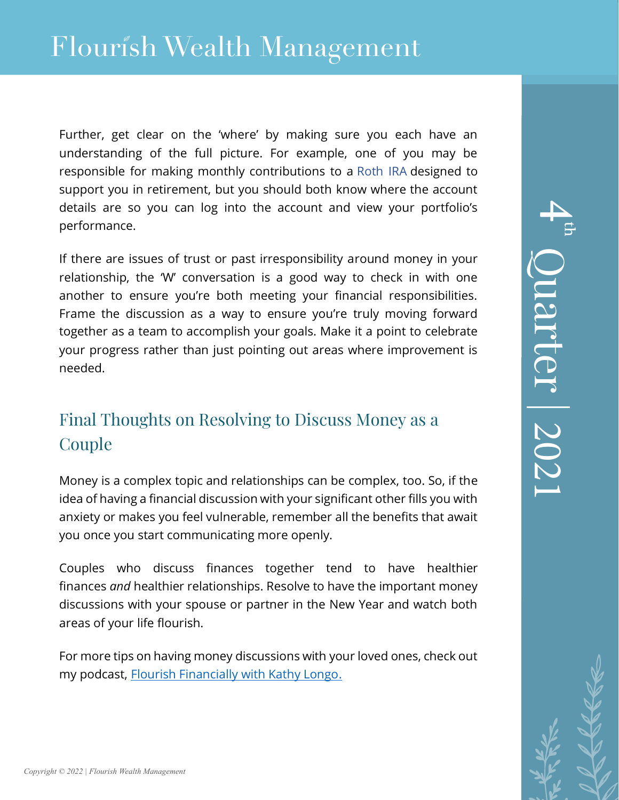## Flourish Wealth Management

Further, get clear on the 'where' by making sure you each have an understanding of the full picture. For example, one of you may be responsible for making monthly contributions to a [Roth IRA](https://www.investopedia.com/terms/r/rothira.asp) designed to support you in retirement, but you should both know where the account details are so you can log into the account and view your portfolio's performance.

If there are issues of trust or past irresponsibility around money in your relationship, the 'W' conversation is a good way to check in with one another to ensure you're both meeting your financial responsibilities. Frame the discussion as a way to ensure you're truly moving forward together as a team to accomplish your goals. Make it a point to celebrate your progress rather than just pointing out areas where improvement is needed.

### Final Thoughts on Resolving to Discuss Money as a Couple

Money is a complex topic and relationships can be complex, too. So, if the idea of having a financial discussion with your significant other fills you with anxiety or makes you feel vulnerable, remember all the benefits that await you once you start communicating more openly.

Couples who discuss finances together tend to have healthier finances *and* healthier relationships. Resolve to have the important money discussions with your spouse or partner in the New Year and watch both areas of your life flourish.

For more tips on having money discussions with your loved ones, check out my podcast, [Flourish Financially with Kathy Longo.](https://www.flourishwealthmanagement.com/resources/podcasts)

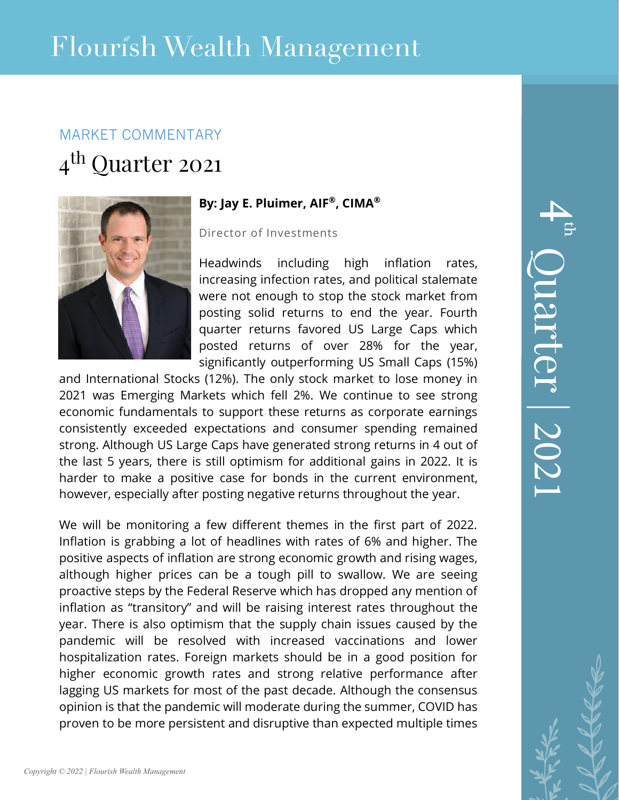## MARKET COMMENTARY

## 4<sup>th</sup> Quarter 2021



### **By: Jay E. Pluimer, AIF®, CIMA®**

#### Director of Investments

Headwinds including high inflation rates, increasing infection rates, and political stalemate were not enough to stop the stock market from posting solid returns to end the year. Fourth quarter returns favored US Large Caps which posted returns of over 28% for the year, significantly outperforming US Small Caps (15%)

and International Stocks (12%). The only stock market to lose money in 2021 was Emerging Markets which fell 2%. We continue to see strong economic fundamentals to support these returns as corporate earnings consistently exceeded expectations and consumer spending remained strong. Although US Large Caps have generated strong returns in 4 out of the last 5 years, there is still optimism for additional gains in 2022. It is harder to make a positive case for bonds in the current environment, however, especially after posting negative returns throughout the year.

We will be monitoring a few different themes in the first part of 2022. Inflation is grabbing a lot of headlines with rates of 6% and higher. The positive aspects of inflation are strong economic growth and rising wages, although higher prices can be a tough pill to swallow. We are seeing proactive steps by the Federal Reserve which has dropped any mention of inflation as "transitory" and will be raising interest rates throughout the year. There is also optimism that the supply chain issues caused by the pandemic will be resolved with increased vaccinations and lower hospitalization rates. Foreign markets should be in a good position for higher economic growth rates and strong relative performance after lagging US markets for most of the past decade. Although the consensus opinion is that the pandemic will moderate during the summer, COVID has proven to be more persistent and disruptive than expected multiple times